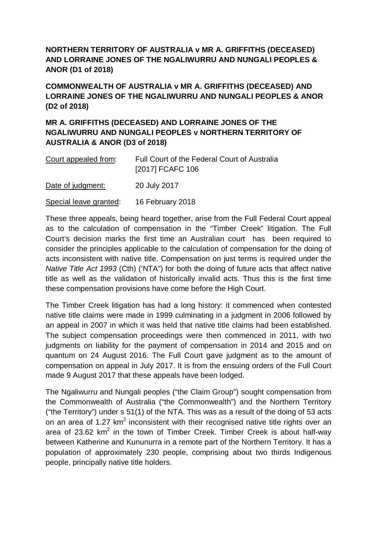**NORTHERN TERRITORY OF AUSTRALIA v MR A. GRIFFITHS (DECEASED) AND LORRAINE JONES OF THE NGALIWURRU AND NUNGALI PEOPLES & ANOR (D1 of 2018)**

**COMMONWEALTH OF AUSTRALIA v MR A. GRIFFITHS (DECEASED) AND LORRAINE JONES OF THE NGALIWURRU AND NUNGALI PEOPLES & ANOR (D2 of 2018)**

## **MR A. GRIFFITHS (DECEASED) AND LORRAINE JONES OF THE NGALIWURRU AND NUNGALI PEOPLES v NORTHERN TERRITORY OF AUSTRALIA & ANOR (D3 of 2018)**

| Court appealed from: | Full Court of the Federal Court of Australia<br>[2017] FCAFC 106 |
|----------------------|------------------------------------------------------------------|
| Date of judgment:    | 20 July 2017                                                     |

Special leave granted: 16 February 2018

These three appeals, being heard together, arise from the Full Federal Court appeal as to the calculation of compensation in the "Timber Creek" litigation. The Full Court's decision marks the first time an Australian court has been required to consider the principles applicable to the calculation of compensation for the doing of acts inconsistent with native title. Compensation on just terms is required under the *Native Title Act 1993* (Cth) ('NTA") for both the doing of future acts that affect native title as well as the validation of historically invalid acts. Thus this is the first time these compensation provisions have come before the High Court.

The Timber Creek litigation has had a long history: it commenced when contested native title claims were made in 1999 culminating in a judgment in 2006 followed by an appeal in 2007 in which it was held that native title claims had been established. The subject compensation proceedings were then commenced in 2011, with two judgments on liability for the payment of compensation in 2014 and 2015 and on quantum on 24 August 2016. The Full Court gave judgment as to the amount of compensation on appeal in July 2017. It is from the ensuing orders of the Full Court made 9 August 2017 that these appeals have been lodged.

The Ngaliwurru and Nungali peoples ("the Claim Group") sought compensation from the Commonwealth of Australia ("the Commonwealth") and the Northern Territory ("the Territory") under s 51(1) of the NTA. This was as a result of the doing of 53 acts on an area of 1.27 km<sup>2</sup> inconsistent with their recognised native title rights over an area of 23.62  $km^2$  in the town of Timber Creek. Timber Creek is about half-way between Katherine and Kununurra in a remote part of the Northern Territory. It has a population of approximately 230 people, comprising about two thirds Indigenous people, principally native title holders.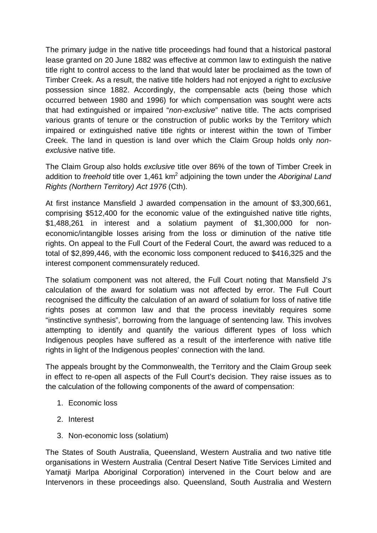The primary judge in the native title proceedings had found that a historical pastoral lease granted on 20 June 1882 was effective at common law to extinguish the native title right to control access to the land that would later be proclaimed as the town of Timber Creek. As a result, the native title holders had not enjoyed a right to *exclusive* possession since 1882. Accordingly, the compensable acts (being those which occurred between 1980 and 1996) for which compensation was sought were acts that had extinguished or impaired "*non-exclusive*" native title. The acts comprised various grants of tenure or the construction of public works by the Territory which impaired or extinguished native title rights or interest within the town of Timber Creek. The land in question is land over which the Claim Group holds only *nonexclusive* native title.

The Claim Group also holds *exclusive* title over 86% of the town of Timber Creek in addition to *freehold* title over 1,461 km<sup>2</sup> adjoining the town under the *Aboriginal Land Rights (Northern Territory) Act 1976* (Cth).

At first instance Mansfield J awarded compensation in the amount of \$3,300,661, comprising \$512,400 for the economic value of the extinguished native title rights, \$1,488,261 in interest and a solatium payment of \$1,300,000 for noneconomic/intangible losses arising from the loss or diminution of the native title rights. On appeal to the Full Court of the Federal Court, the award was reduced to a total of \$2,899,446, with the economic loss component reduced to \$416,325 and the interest component commensurately reduced.

The solatium component was not altered, the Full Court noting that Mansfield J's calculation of the award for solatium was not affected by error. The Full Court recognised the difficulty the calculation of an award of solatium for loss of native title rights poses at common law and that the process inevitably requires some "instinctive synthesis", borrowing from the language of sentencing law. This involves attempting to identify and quantify the various different types of loss which Indigenous peoples have suffered as a result of the interference with native title rights in light of the Indigenous peoples' connection with the land.

The appeals brought by the Commonwealth, the Territory and the Claim Group seek in effect to re-open all aspects of the Full Court's decision. They raise issues as to the calculation of the following components of the award of compensation:

- 1. Economic loss
- 2. Interest
- 3. Non-economic loss (solatium)

The States of South Australia, Queensland, Western Australia and two native title organisations in Western Australia (Central Desert Native Title Services Limited and Yamatji Marlpa Aboriginal Corporation) intervened in the Court below and are Intervenors in these proceedings also. Queensland, South Australia and Western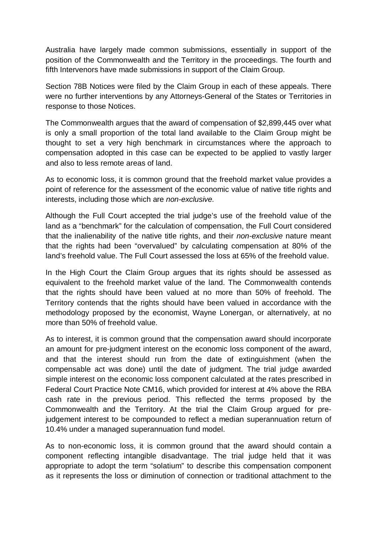Australia have largely made common submissions, essentially in support of the position of the Commonwealth and the Territory in the proceedings. The fourth and fifth Intervenors have made submissions in support of the Claim Group.

Section 78B Notices were filed by the Claim Group in each of these appeals. There were no further interventions by any Attorneys-General of the States or Territories in response to those Notices.

The Commonwealth argues that the award of compensation of \$2,899,445 over what is only a small proportion of the total land available to the Claim Group might be thought to set a very high benchmark in circumstances where the approach to compensation adopted in this case can be expected to be applied to vastly larger and also to less remote areas of land.

As to economic loss, it is common ground that the freehold market value provides a point of reference for the assessment of the economic value of native title rights and interests, including those which are *non-exclusive.*

Although the Full Court accepted the trial judge's use of the freehold value of the land as a "benchmark" for the calculation of compensation, the Full Court considered that the inalienability of the native title rights, and their *non-exclusive* nature meant that the rights had been "overvalued" by calculating compensation at 80% of the land's freehold value. The Full Court assessed the loss at 65% of the freehold value.

In the High Court the Claim Group argues that its rights should be assessed as equivalent to the freehold market value of the land. The Commonwealth contends that the rights should have been valued at no more than 50% of freehold. The Territory contends that the rights should have been valued in accordance with the methodology proposed by the economist, Wayne Lonergan, or alternatively, at no more than 50% of freehold value.

As to interest, it is common ground that the compensation award should incorporate an amount for pre-judgment interest on the economic loss component of the award, and that the interest should run from the date of extinguishment (when the compensable act was done) until the date of judgment. The trial judge awarded simple interest on the economic loss component calculated at the rates prescribed in Federal Court Practice Note CM16, which provided for interest at 4% above the RBA cash rate in the previous period. This reflected the terms proposed by the Commonwealth and the Territory. At the trial the Claim Group argued for prejudgement interest to be compounded to reflect a median superannuation return of 10.4% under a managed superannuation fund model.

As to non-economic loss, it is common ground that the award should contain a component reflecting intangible disadvantage. The trial judge held that it was appropriate to adopt the term "solatium" to describe this compensation component as it represents the loss or diminution of connection or traditional attachment to the